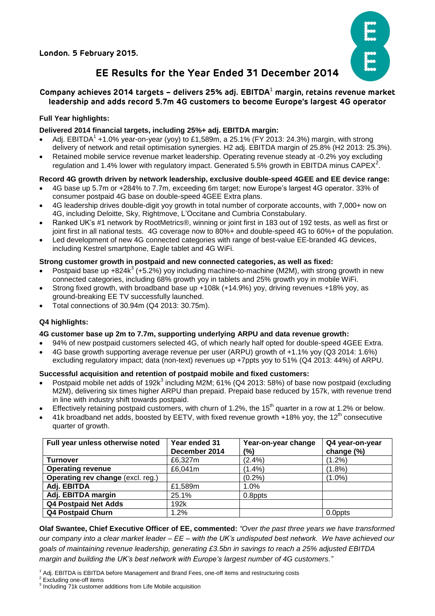**London. 5 February 2015.**



# **EE Results for the Year Ended 31 December 2014**

## **Company achieves 2014 targets – delivers 25% adj. EBITDA**<sup>1</sup> **margin, retains revenue market leadership and adds record 5.7m 4G customers to become Europe's largest 4G operator**

## **Full Year highlights:**

## **Delivered 2014 financial targets, including 25%+ adj. EBITDA margin:**

- Adj. EBITDA<sup>1</sup> +1.0% year-on-year (yoy) to £1,589m, a 25.1% (FY 2013: 24.3%) margin, with strong delivery of network and retail optimisation synergies. H2 adj. EBITDA margin of 25.8% (H2 2013: 25.3%).
- Retained mobile service revenue market leadership. Operating revenue steady at -0.2% yoy excluding regulation and 1.4% lower with regulatory impact. Generated 5.5% growth in EBITDA minus CAPEX<sup>2</sup>.

## **Record 4G growth driven by network leadership, exclusive double-speed 4GEE and EE device range:**

- 4G base up 5.7m or +284% to 7.7m, exceeding 6m target; now Europe's largest 4G operator. 33% of consumer postpaid 4G base on double-speed 4GEE Extra plans.
- 4G leadership drives double-digit yoy growth in total number of corporate accounts, with 7,000+ now on 4G, including Deloitte, Sky, Rightmove, L'Occitane and Cumbria Constabulary.
- Ranked UK's #1 network by RootMetrics®, winning or joint first in 183 out of 192 tests, as well as first or joint first in all national tests. 4G coverage now to 80%+ and double-speed 4G to 60%+ of the population.
- Led development of new 4G connected categories with range of best-value EE-branded 4G devices, including Kestrel smartphone, Eagle tablet and 4G WiFi.

## **Strong customer growth in postpaid and new connected categories, as well as fixed:**

- Postpaid base up +824 $k^3$  (+5.2%) yoy including machine-to-machine (M2M), with strong growth in new connected categories, including 68% growth yoy in tablets and 25% growth yoy in mobile WiFi.
- Strong fixed growth, with broadband base up +108k (+14.9%) yoy, driving revenues +18% yoy, as ground-breaking EE TV successfully launched.
- Total connections of 30.94m (Q4 2013: 30.75m).

## **Q4 highlights:**

## **4G customer base up 2m to 7.7m, supporting underlying ARPU and data revenue growth:**

- 94% of new postpaid customers selected 4G, of which nearly half opted for double-speed 4GEE Extra.
- 4G base growth supporting average revenue per user (ARPU) growth of +1.1% yoy (Q3 2014: 1.6%)
- excluding regulatory impact; data (non-text) revenues up +7ppts yoy to 51% (Q4 2013: 44%) of ARPU.

## **Successful acquisition and retention of postpaid mobile and fixed customers:**

- Postpaid mobile net adds of 192 $k^3$  including M2M; 61% (Q4 2013: 58%) of base now postpaid (excluding M2M), delivering six times higher ARPU than prepaid. Prepaid base reduced by 157k, with revenue trend in line with industry shift towards postpaid.
- Effectively retaining postpaid customers, with churn of 1.2%, the 15<sup>th</sup> quarter in a row at 1.2% or below.
- 41k broadband net adds, boosted by EETV, with fixed revenue growth  $+18\%$  yoy, the 12<sup>th</sup> consecutive quarter of growth.

| Full year unless otherwise noted  | Year ended 31 | Year-on-year change | Q4 year-on-year |
|-----------------------------------|---------------|---------------------|-----------------|
|                                   | December 2014 | (%)                 | change (%)      |
| <b>Turnover</b>                   | £6,327m       | (2.4%)              | $(1.2\%)$       |
| <b>Operating revenue</b>          | £6,041m       | $(1.4\%)$           | $(1.8\%)$       |
| Operating rev change (excl. reg.) |               | (0.2%               | $(1.0\%)$       |
| Adj. EBITDA                       | £1,589m       | 1.0%                |                 |
| Adj. EBITDA margin                | 25.1%         | 0.8ppts             |                 |
| <b>Q4 Postpaid Net Adds</b>       | 192k          |                     |                 |
| <b>Q4 Postpaid Churn</b>          | 1.2%          |                     | 0.0ppts         |

**Olaf Swantee, Chief Executive Officer of EE, commented:** *"Over the past three years we have transformed our company into a clear market leader – EE – with the UK's undisputed best network. We have achieved our goals of maintaining revenue leadership, generating £3.5bn in savings to reach a 25% adjusted EBITDA margin and building the UK's best network with Europe's largest number of 4G customers."*

<sup>2</sup> Excluding one-off items

<sup>1</sup> Adj. EBITDA is EBITDA before Management and Brand Fees, one-off items and restructuring costs

 $3$  Including  $71$ k customer additions from Life Mobile acquisition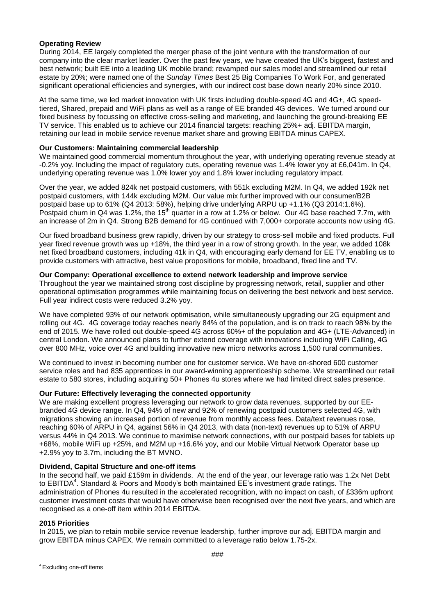### **Operating Review**

During 2014, EE largely completed the merger phase of the joint venture with the transformation of our company into the clear market leader. Over the past few years, we have created the UK's biggest, fastest and best network; built EE into a leading UK mobile brand; revamped our sales model and streamlined our retail estate by 20%; were named one of the *Sunday Times* Best 25 Big Companies To Work For, and generated significant operational efficiencies and synergies, with our indirect cost base down nearly 20% since 2010.

At the same time, we led market innovation with UK firsts including double-speed 4G and 4G+, 4G speedtiered, Shared, prepaid and WiFi plans as well as a range of EE branded 4G devices. We turned around our fixed business by focussing on effective cross-selling and marketing, and launching the ground-breaking EE TV service. This enabled us to achieve our 2014 financial targets: reaching 25%+ adj. EBITDA margin, retaining our lead in mobile service revenue market share and growing EBITDA minus CAPEX.

#### **Our Customers: Maintaining commercial leadership**

We maintained good commercial momentum throughout the year, with underlying operating revenue steady at -0.2% yoy. Including the impact of regulatory cuts, operating revenue was 1.4% lower yoy at £6,041m. In Q4, underlying operating revenue was 1.0% lower yoy and 1.8% lower including regulatory impact.

Over the year, we added 824k net postpaid customers, with 551k excluding M2M. In Q4, we added 192k net postpaid customers, with 144k excluding M2M. Our value mix further improved with our consumer/B2B postpaid base up to 61% (Q4 2013: 58%), helping drive underlying ARPU up +1.1% (Q3 2014:1.6%). Postpaid churn in Q4 was 1.2%, the 15<sup>th</sup> quarter in a row at 1.2% or below. Our 4G base reached 7.7m, with an increase of 2m in Q4. Strong B2B demand for 4G continued with 7,000+ corporate accounts now using 4G.

Our fixed broadband business grew rapidly, driven by our strategy to cross-sell mobile and fixed products. Full year fixed revenue growth was up +18%, the third year in a row of strong growth. In the year, we added 108k net fixed broadband customers, including 41k in Q4, with encouraging early demand for EE TV, enabling us to provide customers with attractive, best value propositions for mobile, broadband, fixed line and TV.

#### **Our Company: Operational excellence to extend network leadership and improve service**

Throughout the year we maintained strong cost discipline by progressing network, retail, supplier and other operational optimisation programmes while maintaining focus on delivering the best network and best service. Full year indirect costs were reduced 3.2% yoy.

We have completed 93% of our network optimisation, while simultaneously upgrading our 2G equipment and rolling out 4G. 4G coverage today reaches nearly 84% of the population, and is on track to reach 98% by the end of 2015. We have rolled out double-speed 4G across 60%+ of the population and 4G+ (LTE-Advanced) in central London. We announced plans to further extend coverage with innovations including WiFi Calling, 4G over 800 MHz, voice over 4G and building innovative new micro networks across 1,500 rural communities.

We continued to invest in becoming number one for customer service. We have on-shored 600 customer service roles and had 835 apprentices in our award-winning apprenticeship scheme. We streamlined our retail estate to 580 stores, including acquiring 50+ Phones 4u stores where we had limited direct sales presence.

## **Our Future: Effectively leveraging the connected opportunity**

We are making excellent progress leveraging our network to grow data revenues, supported by our EEbranded 4G device range. In Q4, 94% of new and 92% of renewing postpaid customers selected 4G, with migrations showing an increased portion of revenue from monthly access fees. Data/text revenues rose, reaching 60% of ARPU in Q4, against 56% in Q4 2013, with data (non-text) revenues up to 51% of ARPU versus 44% in Q4 2013. We continue to maximise network connections, with our postpaid bases for tablets up +68%, mobile WiFi up +25%, and M2M up +16.6% yoy, and our Mobile Virtual Network Operator base up +2.9% yoy to 3.7m, including the BT MVNO.

#### **Dividend, Capital Structure and one-off items**

In the second half, we paid £159m in dividends. At the end of the year, our leverage ratio was 1.2x Net Debt to EBITDA<sup>4</sup>. Standard & Poors and Moody's both maintained EE's investment grade ratings. The administration of Phones 4u resulted in the accelerated recognition, with no impact on cash, of £336m upfront customer investment costs that would have otherwise been recognised over the next five years, and which are recognised as a one-off item within 2014 EBITDA.

#### **2015 Priorities**

In 2015, we plan to retain mobile service revenue leadership, further improve our adj. EBITDA margin and grow EBITDA minus CAPEX. We remain committed to a leverage ratio below 1.75-2x.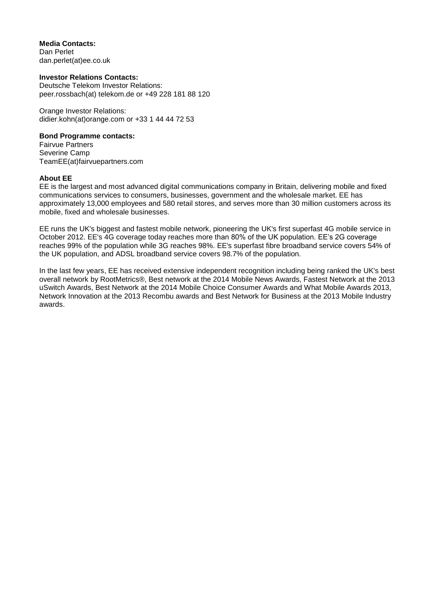**Media Contacts:** Dan Perlet dan.perlet(at)ee.co.uk

#### **Investor Relations Contacts:**

Deutsche Telekom Investor Relations: [peer.rossbach\(at\) telekom.de](mailto:peer.rossbach@telekom.de) or +49 228 181 88 120

Orange Investor Relations: didier.kohn(at)orange.com or +33 1 44 44 72 53

#### **Bond Programme contacts:**

Fairvue Partners Severine Camp TeamEE(at)fairvuepartners.com

#### **About EE**

EE is the largest and most advanced digital communications company in Britain, delivering mobile and fixed communications services to consumers, businesses, government and the wholesale market. EE has approximately 13,000 employees and 580 retail stores, and serves more than 30 million customers across its mobile, fixed and wholesale businesses.

EE runs the UK's biggest and fastest mobile network, pioneering the UK's first superfast 4G mobile service in October 2012. EE's 4G coverage today reaches more than 80% of the UK population. EE's 2G coverage reaches 99% of the population while 3G reaches 98%. EE's superfast fibre broadband service covers 54% of the UK population, and ADSL broadband service covers 98.7% of the population.

In the last few years, EE has received extensive independent recognition including being ranked the UK's best overall network by RootMetrics®, Best network at the 2014 Mobile News Awards, Fastest Network at the 2013 uSwitch Awards, Best Network at the 2014 Mobile Choice Consumer Awards and What Mobile Awards 2013, Network Innovation at the 2013 Recombu awards and Best Network for Business at the 2013 Mobile Industry awards.